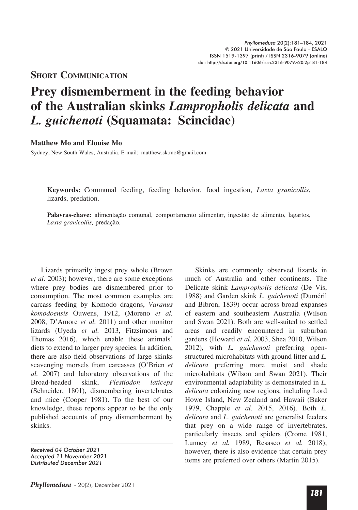## **Short CommuniCation**

## **Prey dismemberment in the feeding behavior of the Australian skinks** *Lampropholis delicata* **and**  *L. guichenoti* **(Squamata: Scincidae)**

## **Matthew Mo and Elouise Mo**

Sydney, New South Wales, Australia. E-mail: matthew.sk.mo@gmail.com.

**Keywords:** Communal feeding, feeding behavior, food ingestion, *Laxta granicollis*, lizards, predation.

Palavras-chave: alimentação comunal, comportamento alimentar, ingestão de alimento, lagartos, Laxta granicollis, predação.

Lizards primarily ingest prey whole (Brown *et al.* 2003); however, there are some exceptions where prey bodies are dismembered prior to consumption. The most common examples are carcass feeding by Komodo dragons, *Varanus komodoensis* Ouwens, 1912, (Moreno *et al.*  2008, D'Amore *et al.* 2011) and other monitor lizards (Uyeda *et al.* 2013, Fitzsimons and Thomas 2016), which enable these animals' diets to extend to larger prey species. In addition, there are also field observations of large skinks scavenging morsels from carcasses (O'Brien *et al.* 2007) and laboratory observations of the Broad-headed skink, *Plestiodon laticeps* (Schneider, 1801), dismembering invertebrates and mice (Cooper 1981). To the best of our knowledge, these reports appear to be the only published accounts of prey dismemberment by skinks.

Skinks are commonly observed lizards in much of Australia and other continents. The Delicate skink *Lampropholis delicata* (De Vis, 1988) and Garden skink *L. guichenoti* (Duméril and Bibron, 1839) occur across broad expanses of eastern and southeastern Australia (Wilson and Swan 2021). Both are well-suited to settled areas and readily encountered in suburban gardens (Howard *et al.* 2003, Shea 2010, Wilson 2012), with *L. guichenoti* preferring openstructured microhabitats with ground litter and *L. delicata* preferring more moist and shade microhabitats (Wilson and Swan 2021). Their environmental adaptability is demonstrated in *L. delicata* colonizing new regions, including Lord Howe Island, New Zealand and Hawaii (Baker 1979, Chapple *et al.* 2015, 2016). Both *L. delicata* and *L. guichenoti* are generalist feeders that prey on a wide range of invertebrates, particularly insects and spiders (Crome 1981, Lunney *et al.* 1989, Resasco *et al.* 2018); however, there is also evidence that certain prey items are preferred over others (Martin 2015).

*Received 04 October 2021 Accepted 11 November 2021 Distributed December 2021*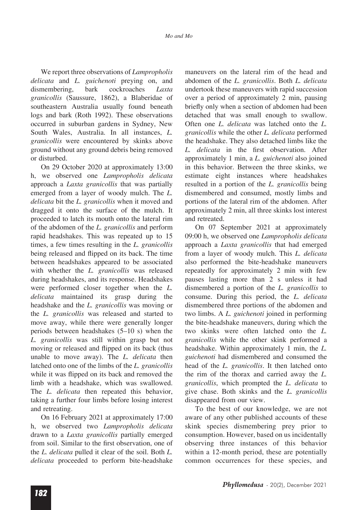We report three observations of *Lampropholis delicata* and *L. guichenoti* preying on, and dismembering, bark cockroaches *Laxta granicollis* (Saussure, 1862), a Blaberidae of southeastern Australia usually found beneath logs and bark (Roth 1992). These observations occurred in suburban gardens in Sydney, New South Wales, Australia. In all instances, *L. granicollis* were encountered by skinks above ground without any ground debris being removed or disturbed.

On 29 October 2020 at approximately 13:00 h, we observed one *Lampropholis delicata*  approach a *Laxta granicollis* that was partially emerged from a layer of woody mulch. The *L. delicata* bit the *L. granicollis* when it moved and dragged it onto the surface of the mulch. It proceeded to latch its mouth onto the lateral rim of the abdomen of the *L. granicollis* and perform rapid headshakes. This was repeated up to 15 times, a few times resulting in the *L. granicollis*  being released and flipped on its back. The time between headshakes appeared to be associated with whether the *L. granicollis* was released during headshakes, and its response. Headshakes were performed closer together when the *L. delicata* maintained its grasp during the headshake and the *L. granicollis* was moving or the *L. granicollis* was released and started to move away, while there were generally longer periods between headshakes (5–10 s) when the *L. granicollis* was still within grasp but not moving or released and flipped on its back (thus unable to move away). The *L. delicata* then latched onto one of the limbs of the *L. granicollis*  while it was flipped on its back and removed the limb with a headshake, which was swallowed. The *L. delicata* then repeated this behavior, taking a further four limbs before losing interest and retreating.

On 16 February 2021 at approximately 17:00 h, we observed two *Lampropholis delicata*  drawn to a *Laxta granicollis* partially emerged from soil. Similar to the first observation, one of the *L. delicata* pulled it clear of the soil. Both *L. delicata* proceeded to perform bite-headshake maneuvers on the lateral rim of the head and abdomen of the *L. granicollis*. Both *L. delicata*  undertook these maneuvers with rapid succession over a period of approximately 2 min, pausing briefly only when a section of abdomen had been detached that was small enough to swallow. Often one *L. delicata* was latched onto the *L. granicollis* while the other *L. delicata* performed the headshake. They also detached limbs like the *L. delicata* in the first observation. After approximately 1 min, a *L. guichenoti* also joined in this behavior. Between the three skinks, we estimate eight instances where headshakes resulted in a portion of the *L. granicollis* being dismembered and consumed, mostly limbs and portions of the lateral rim of the abdomen. After approximately 2 min, all three skinks lost interest and retreated.

On 07 September 2021 at approximately 09:00 h, we observed one *Lampropholis delicata*  approach a *Laxta granicollis* that had emerged from a layer of woody mulch. This *L. delicata*  also performed the bite-headshake maneuvers repeatedly for approximately 2 min with few pauses lasting more than 2 s unless it had dismembered a portion of the *L. granicollis* to consume. During this period, the *L. delicata*  dismembered three portions of the abdomen and two limbs. A *L. guichenoti* joined in performing the bite-headshake maneuvers, during which the two skinks were often latched onto the *L. granicollis* while the other skink performed a headshake. Within approximately 1 min, the *L. guichenoti* had dismembered and consumed the head of the *L. granicollis*. It then latched onto the rim of the thorax and carried away the *L. granicollis*, which prompted the *L. delicata* to give chase. Both skinks and the *L. granicollis*  disappeared from our view.

To the best of our knowledge, we are not aware of any other published accounts of these skink species dismembering prey prior to consumption. However, based on us incidentally observing three instances of this behavior within a 12-month period, these are potentially common occurrences for these species, and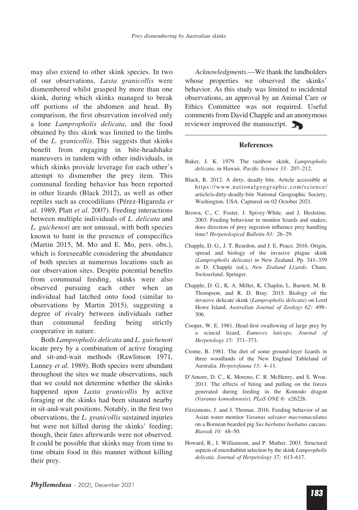may also extend to other skink species. In two of our observations, *Laxta granicollis* were dismembered whilst grasped by more than one skink, during which skinks managed to break off portions of the abdomen and head. By comparison, the first observation involved only a lone *Lampropholis delicata*, and the food obtained by this skink was limited to the limbs of the *L. granicollis*. This suggests that skinks benefit from engaging in bite-headshake maneuvers in tandem with other individuals, in which skinks provide leverage for each other's attempt to dismember the prey item. This communal feeding behavior has been reported in other lizards (Black 2012), as well as other reptiles such as crocodilians (Pérez-Higareda *et al.* 1989, Platt *et al.* 2007). Feeding interactions between multiple individuals of *L. delicata* and *L. guichenoti* are not unusual, with both species known to hunt in the presence of conspecifics (Martin 2015, M. Mo and E. Mo, pers. obs.), which is foreseeable considering the abundance of both species at numerous locations such as our observation sites. Despite potential benefits from communal feeding, skinks were also observed pursuing each other when an individual had latched onto food (similar to observations by Martin 2015), suggesting a degree of rivalry between individuals rather than communal feeding being strictly cooperative in nature.

Both *Lampropholis delicata* and *L. guichenoti*  locate prey by a combination of active foraging and sit-and-wait methods (Rawlinson 1971, Lunney *et al.* 1989). Both species were abundant throughout the sites we made observations, such that we could not determine whether the skinks happened upon *Laxta granicollis* by active foraging or the skinks had been situated nearby in sit-and-wait positions. Notably, in the first two observations, the *L. granicollis* sustained injuries but were not killed during the skinks' feeding; though, their fates afterwards were not observed. It could be possible that skinks may from time to time obtain food in this manner without killing their prey.

*Acknowledgments*.—We thank the landholders whose properties we observed the skinks' behavior. As this study was limited to incidental observations, an approval by an Animal Care or Ethics Committee was not required. Useful comments from David Chapple and an anonymous reviewer improved the manuscript.

## **References**

- Baker, J. K. 1979. The rainbow skink, *Lampropholis delicata*, in Hawaii. *Pacifc Science 33:* 207–212.
- Black, R. 2012. A dirty, deadly bite. Article accessible at https://www.nationalgeographic.com/science/ article/a-dirty-deadly-bite National Geographic Society, Washington, USA. Captured on 02 October 2021.
- Brown, C., C. Foster, J. Spivey-White, and J. Hesletine. 2003. Feeding behaviour in monitor lizards and snakes; does direction of prey ingestion influence prey handling time? *Herpetological Bulletin 83:* 26–29.
- Chapple, D. G., J. T. Reardon, and J. E. Peace. 2016. Origin, spread and biology of the invasive plague skink (*Lampropholis delicata*) in New Zealand. Pp. 341–359 *in* D. Chapple (ed.), *New Zealand Lizards*. Cham, Switzerland. Springer.
- Chapple, D. G., K. A. Miller, K. Chaplin, L. Barnett, M. B. Thompson, and R. D. Bray. 2015. Biology of the invasive delicate skink (*Lampropholis delicata*) on Lord Howe Island. *Australian Journal of Zoology 62:* 498– 506.
- Cooper, W. E. 1981. Head-first swallowing of large prey by a scincid lizard, *Eumeces laticeps*. *Journal of Herpetology 15:* 371–373.
- Crome, B. 1981. The diet of some ground-layer lizards in three woodlands of the New England Tableland of Australia. *Herpetofauna 13:* 4–11.
- D'Amore, D. C., K. Moreno, C. R. McHenry, and S. Wroe. 2011. The effects of biting and pulling on the forces generated during feeding in the Komodo dragon (*Varanus komodoensis*). *PLoS ONE 6:* e26226.
- Fitzsimons, J. and J. Thomas. 2016. Feeding behavior of an Asian water monitor *Varanus salvator macromaculatus*  on a Bornean bearded pig *Sus barbatus barbatus* carcass. *Biawak 10:* 48–50.
- Howard, R., I. Williamson, and P. Mather. 2003. Structural aspects of microhabitat selection by the skink *Lampropholis delicata*. *Journal of Herpetology 37:* 613–617.